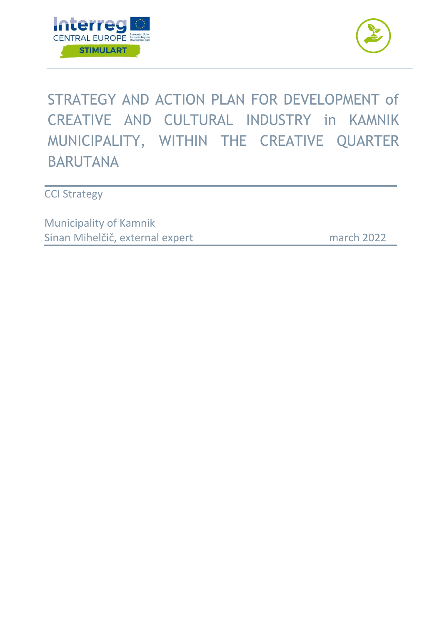



# STRATEGY AND ACTION PLAN FOR DEVELOPMENT of CREATIVE AND CULTURAL INDUSTRY in KAMNIK MUNICIPALITY, WITHIN THE CREATIVE QUARTER BARUTANA

**CCI Strategy** 

Municipality of Kamnik Sinan Mihelčič, external expert

march 2022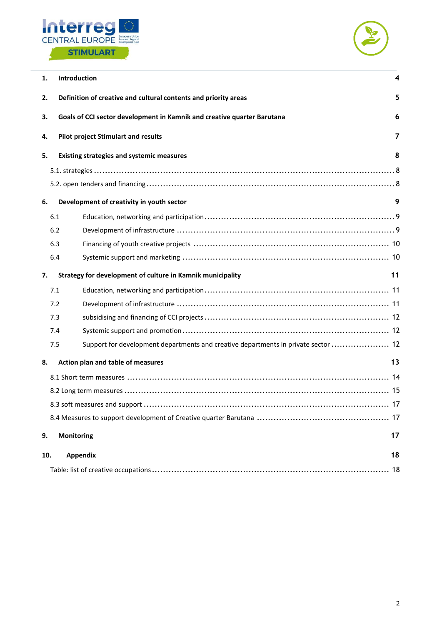



| 1.  | 4<br>Introduction                                                                         |    |  |  |  |  |
|-----|-------------------------------------------------------------------------------------------|----|--|--|--|--|
| 2.  | 5<br>Definition of creative and cultural contents and priority areas                      |    |  |  |  |  |
| 3.  | Goals of CCI sector development in Kamnik and creative quarter Barutana                   | 6  |  |  |  |  |
| 4.  | <b>Pilot project Stimulart and results</b>                                                | 7  |  |  |  |  |
| 5.  | <b>Existing strategies and systemic measures</b>                                          | 8  |  |  |  |  |
|     |                                                                                           |    |  |  |  |  |
|     |                                                                                           |    |  |  |  |  |
| 6.  | Development of creativity in youth sector                                                 | 9  |  |  |  |  |
|     | 6.1                                                                                       |    |  |  |  |  |
|     | 6.2                                                                                       |    |  |  |  |  |
|     | 6.3                                                                                       |    |  |  |  |  |
|     | 6.4                                                                                       |    |  |  |  |  |
| 7.  | Strategy for development of culture in Kamnik municipality                                | 11 |  |  |  |  |
|     | 7.1                                                                                       |    |  |  |  |  |
|     | 7.2                                                                                       |    |  |  |  |  |
|     | 7.3                                                                                       |    |  |  |  |  |
|     | 7.4                                                                                       |    |  |  |  |  |
|     | Support for development departments and creative departments in private sector  12<br>7.5 |    |  |  |  |  |
| 8.  | Action plan and table of measures                                                         | 13 |  |  |  |  |
|     |                                                                                           |    |  |  |  |  |
|     |                                                                                           |    |  |  |  |  |
|     |                                                                                           |    |  |  |  |  |
|     |                                                                                           |    |  |  |  |  |
| 9.  | <b>Monitoring</b>                                                                         | 17 |  |  |  |  |
| 10. | <b>Appendix</b>                                                                           | 18 |  |  |  |  |
|     |                                                                                           |    |  |  |  |  |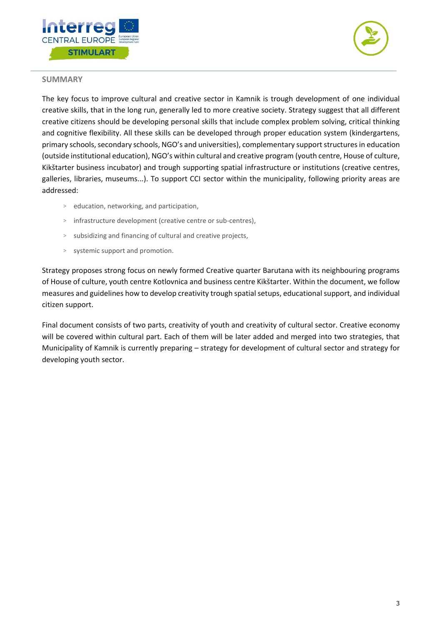



## **SUMMARY**

The key focus to improve cultural and creative sector in Kamnik is trough development of one individual creative skills, that in the long run, generally led to more creative society. Strategy suggest that all different creative citizens should be developing personal skills that include complex problem solving, critical thinking and cognitive flexibility. All these skills can be developed through proper education system (kindergartens, primary schools, secondary schools, NGO's and universities), complementary support structures in education (outside institutional education), NGO's within cultural and creative program (youth centre, House of culture, Kikštarter business incubator) and trough supporting spatial infrastructure or institutions (creative centres, galleries, libraries, museums...). To support CCI sector within the municipality, following priority areas are addressed:

- > education, networking, and participation,
- > infrastructure development (creative centre or sub-centres),
- > subsidizing and financing of cultural and creative projects,
- > systemic support and promotion.

Strategy proposes strong focus on newly formed Creative quarter Barutana with its neighbouring programs of House of culture, youth centre Kotlovnica and business centre Kikštarter. Within the document, we follow measures and guidelines how to develop creativity trough spatial setups, educational support, and individual citizen support.

Final document consists of two parts, creativity of youth and creativity of cultural sector. Creative economy will be covered within cultural part. Each of them will be later added and merged into two strategies, that Municipality of Kamnik is currently preparing – strategy for development of cultural sector and strategy for developing youth sector.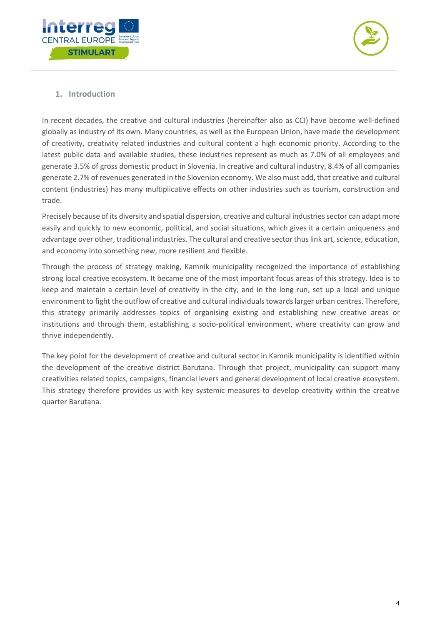



# <span id="page-3-0"></span>**1. Introduction**

In recent decades, the creative and cultural industries (hereinafter also as CCI) have become well-defined globally as industry of its own. Many countries, as well as the European Union, have made the development of creativity, creativity related industries and cultural content a high economic priority. According to the latest public data and available studies, these industries represent as much as 7.0% of all employees and generate 3.5% of gross domestic product in Slovenia. In creative and cultural industry, 8.4% of all companies generate 2.7% of revenues generated in the Slovenian economy. We also must add, that creative and cultural content (industries) has many multiplicative effects on other industries such as tourism, construction and trade.

Precisely because of its diversity and spatial dispersion, creative and cultural industries sector can adapt more easily and quickly to new economic, political, and social situations, which gives it a certain uniqueness and advantage over other, traditional industries. The cultural and creative sector thus link art, science, education, and economy into something new, more resilient and flexible.

Through the process of strategy making, Kamnik municipality recognized the importance of establishing strong local creative ecosystem. It became one of the most important focus areas of this strategy. Idea is to keep and maintain a certain level of creativity in the city, and in the long run, set up a local and unique environment to fight the outflow of creative and cultural individuals towards larger urban centres. Therefore, this strategy primarily addresses topics of organising existing and establishing new creative areas or institutions and through them, establishing a socio-political environment, where creativity can grow and thrive independently.

The key point for the development of creative and cultural sector in Kamnik municipality is identified within the development of the creative district Barutana. Through that project, municipality can support many creativities related topics, campaigns, financial levers and general development of local creative ecosystem. This strategy therefore provides us with key systemic measures to develop creativity within the creative quarter Barutana.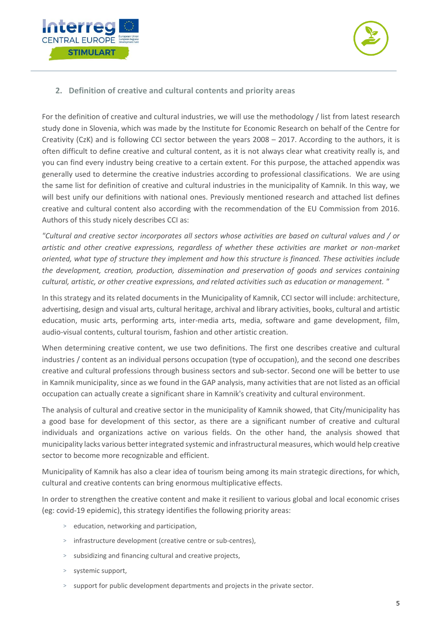



## <span id="page-4-0"></span>**2. Definition of creative and cultural contents and priority areas**

For the definition of creative and cultural industries, we will use the methodology / list from latest research study done in Slovenia, which was made by the Institute for Economic Research on behalf of the Centre for Creativity (CzK) and is following CCI sector between the years 2008 – 2017. According to the authors, it is often difficult to define creative and cultural content, as it is not always clear what creativity really is, and you can find every industry being creative to a certain extent. For this purpose, the attached appendix was generally used to determine the creative industries according to professional classifications. We are using the same list for definition of creative and cultural industries in the municipality of Kamnik. In this way, we will best unify our definitions with national ones. Previously mentioned research and attached list defines creative and cultural content also according with the recommendation of the EU Commission from 2016. Authors of this study nicely describes CCI as:

*"Cultural and creative sector incorporates all sectors whose activities are based on cultural values and / or artistic and other creative expressions, regardless of whether these activities are market or non-market oriented, what type of structure they implement and how this structure is financed. These activities include the development, creation, production, dissemination and preservation of goods and services containing cultural, artistic, or other creative expressions, and related activities such as education or management. "*

In this strategy and its related documents in the Municipality of Kamnik, CCI sector will include: architecture, advertising, design and visual arts, cultural heritage, archival and library activities, books, cultural and artistic education, music arts, performing arts, inter-media arts, media, software and game development, film, audio-visual contents, cultural tourism, fashion and other artistic creation.

When determining creative content, we use two definitions. The first one describes creative and cultural industries / content as an individual persons occupation (type of occupation), and the second one describes creative and cultural professions through business sectors and sub-sector. Second one will be better to use in Kamnik municipality, since as we found in the GAP analysis, many activities that are not listed as an official occupation can actually create a significant share in Kamnik's creativity and cultural environment.

The analysis of cultural and creative sector in the municipality of Kamnik showed, that City/municipality has a good base for development of this sector, as there are a significant number of creative and cultural individuals and organizations active on various fields. On the other hand, the analysis showed that municipality lacks various better integrated systemic and infrastructural measures, which would help creative sector to become more recognizable and efficient.

Municipality of Kamnik has also a clear idea of tourism being among its main strategic directions, for which, cultural and creative contents can bring enormous multiplicative effects.

In order to strengthen the creative content and make it resilient to various global and local economic crises (eg: covid-19 epidemic), this strategy identifies the following priority areas:

- > education, networking and participation,
- > infrastructure development (creative centre or sub-centres),
- > subsidizing and financing cultural and creative projects,
- > systemic support,
- support for public development departments and projects in the private sector.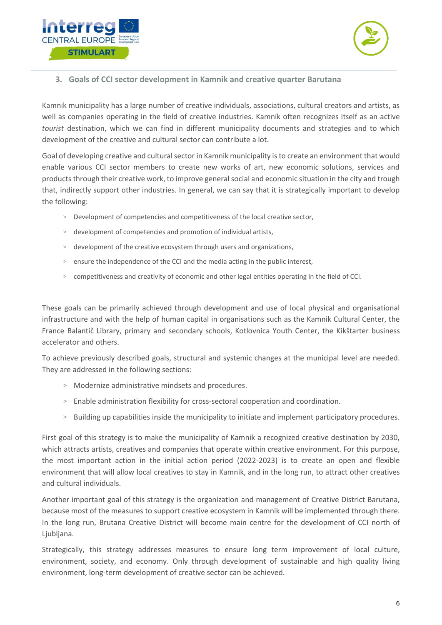



<span id="page-5-0"></span>**3. Goals of CCI sector development in Kamnik and creative quarter Barutana**

Kamnik municipality has a large number of creative individuals, associations, cultural creators and artists, as well as companies operating in the field of creative industries. Kamnik often recognizes itself as an active *tourist* destination, which we can find in different municipality documents and strategies and to which development of the creative and cultural sector can contribute a lot.

Goal of developing creative and cultural sector in Kamnik municipality is to create an environment that would enable various CCI sector members to create new works of art, new economic solutions, services and products through their creative work, to improve general social and economic situation in the city and trough that, indirectly support other industries. In general, we can say that it is strategically important to develop the following:

- > Development of competencies and competitiveness of the local creative sector,
- > development of competencies and promotion of individual artists,
- > development of the creative ecosystem through users and organizations,
- > ensure the independence of the CCI and the media acting in the public interest,
- > competitiveness and creativity of economic and other legal entities operating in the field of CCI.

These goals can be primarily achieved through development and use of local physical and organisational infrastructure and with the help of human capital in organisations such as the Kamnik Cultural Center, the France Balantič Library, primary and secondary schools, Kotlovnica Youth Center, the Kikštarter business accelerator and others.

To achieve previously described goals, structural and systemic changes at the municipal level are needed. They are addressed in the following sections:

- > Modernize administrative mindsets and procedures.
- > Enable administration flexibility for cross-sectoral cooperation and coordination.
- > Building up capabilities inside the municipality to initiate and implement participatory procedures.

First goal of this strategy is to make the municipality of Kamnik a recognized creative destination by 2030, which attracts artists, creatives and companies that operate within creative environment. For this purpose, the most important action in the initial action period (2022-2023) is to create an open and flexible environment that will allow local creatives to stay in Kamnik, and in the long run, to attract other creatives and cultural individuals.

Another important goal of this strategy is the organization and management of Creative District Barutana, because most of the measures to support creative ecosystem in Kamnik will be implemented through there. In the long run, Brutana Creative District will become main centre for the development of CCI north of Ljubljana.

Strategically, this strategy addresses measures to ensure long term improvement of local culture, environment, society, and economy. Only through development of sustainable and high quality living environment, long-term development of creative sector can be achieved.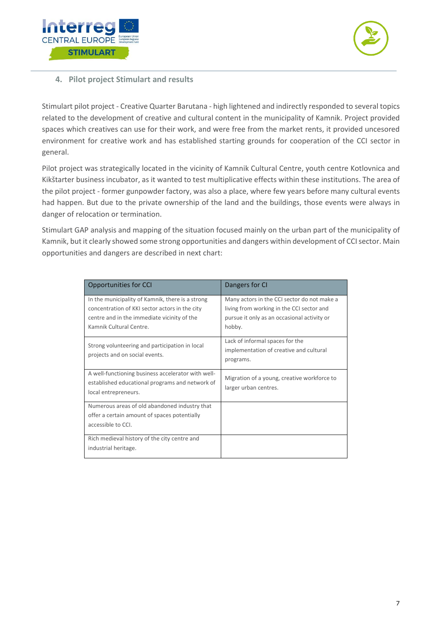



## <span id="page-6-0"></span>**4. Pilot project Stimulart and results**

Stimulart pilot project - Creative Quarter Barutana - high lightened and indirectly responded to several topics related to the development of creative and cultural content in the municipality of Kamnik. Project provided spaces which creatives can use for their work, and were free from the market rents, it provided uncesored environment for creative work and has established starting grounds for cooperation of the CCI sector in general.

Pilot project was strategically located in the vicinity of Kamnik Cultural Centre, youth centre Kotlovnica and Kikštarter business incubator, as it wanted to test multiplicative effects within these institutions. The area of the pilot project - former gunpowder factory, was also a place, where few years before many cultural events had happen. But due to the private ownership of the land and the buildings, those events were always in danger of relocation or termination.

Stimulart GAP analysis and mapping of the situation focused mainly on the urban part of the municipality of Kamnik, but it clearly showed some strong opportunities and dangers within development of CCI sector. Main opportunities and dangers are described in next chart:

| Opportunities for CCI                                                                                                                                                        | Dangers for CI                                                                                                                                    |
|------------------------------------------------------------------------------------------------------------------------------------------------------------------------------|---------------------------------------------------------------------------------------------------------------------------------------------------|
| In the municipality of Kamnik, there is a strong<br>concentration of KKI sector actors in the city<br>centre and in the immediate vicinity of the<br>Kamnik Cultural Centre. | Many actors in the CCI sector do not make a<br>living from working in the CCI sector and<br>pursue it only as an occasional activity or<br>hobby. |
| Strong volunteering and participation in local<br>projects and on social events.                                                                                             | Lack of informal spaces for the<br>implementation of creative and cultural<br>programs.                                                           |
| A well-functioning business accelerator with well-<br>established educational programs and network of<br>local entrepreneurs.                                                | Migration of a young, creative workforce to<br>larger urban centres.                                                                              |
| Numerous areas of old abandoned industry that<br>offer a certain amount of spaces potentially<br>accessible to CCI.                                                          |                                                                                                                                                   |
| Rich medieval history of the city centre and<br>industrial heritage.                                                                                                         |                                                                                                                                                   |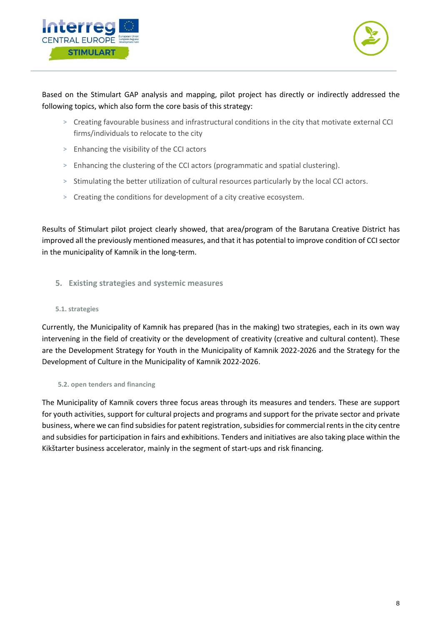



Based on the Stimulart GAP analysis and mapping, pilot project has directly or indirectly addressed the following topics, which also form the core basis of this strategy:

- > Creating favourable business and infrastructural conditions in the city that motivate external CCI firms/individuals to relocate to the city
- > Enhancing the visibility of the CCI actors
- > Enhancing the clustering of the CCI actors (programmatic and spatial clustering).
- > Stimulating the better utilization of cultural resources particularly by the local CCI actors.
- > Creating the conditions for development of a city creative ecosystem.

Results of Stimulart pilot project clearly showed, that area/program of the Barutana Creative District has improved all the previously mentioned measures, and that it has potential to improve condition of CCI sector in the municipality of Kamnik in the long-term.

<span id="page-7-0"></span>**5. Existing strategies and systemic measures**

## <span id="page-7-1"></span>**5.1. strategies**

Currently, the Municipality of Kamnik has prepared (has in the making) two strategies, each in its own way intervening in the field of creativity or the development of creativity (creative and cultural content). These are the Development Strategy for Youth in the Municipality of Kamnik 2022-2026 and the Strategy for the Development of Culture in the Municipality of Kamnik 2022-2026.

#### <span id="page-7-2"></span>**5.2. open tenders and financing**

The Municipality of Kamnik covers three focus areas through its measures and tenders. These are support for youth activities, support for cultural projects and programs and support for the private sector and private business, where we can find subsidies for patent registration, subsidies for commercial rents in the city centre and subsidies for participation in fairs and exhibitions. Tenders and initiatives are also taking place within the Kikštarter business accelerator, mainly in the segment of start-ups and risk financing.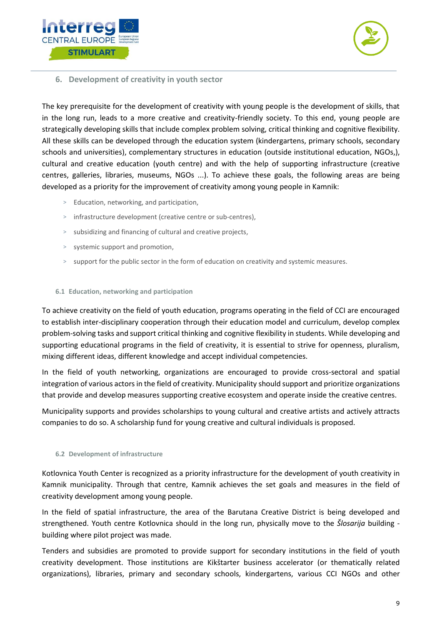



## <span id="page-8-0"></span>**6. Development of creativity in youth sector**

The key prerequisite for the development of creativity with young people is the development of skills, that in the long run, leads to a more creative and creativity-friendly society. To this end, young people are strategically developing skills that include complex problem solving, critical thinking and cognitive flexibility. All these skills can be developed through the education system (kindergartens, primary schools, secondary schools and universities), complementary structures in education (outside institutional education, NGOs,), cultural and creative education (youth centre) and with the help of supporting infrastructure (creative centres, galleries, libraries, museums, NGOs ...). To achieve these goals, the following areas are being developed as a priority for the improvement of creativity among young people in Kamnik:

- > Education, networking, and participation,
- > infrastructure development (creative centre or sub-centres),
- > subsidizing and financing of cultural and creative projects,
- > systemic support and promotion,
- > support for the public sector in the form of education on creativity and systemic measures.

#### <span id="page-8-1"></span>**6.1 Education, networking and participation**

To achieve creativity on the field of youth education, programs operating in the field of CCI are encouraged to establish inter-disciplinary cooperation through their education model and curriculum, develop complex problem-solving tasks and support critical thinking and cognitive flexibility in students. While developing and supporting educational programs in the field of creativity, it is essential to strive for openness, pluralism, mixing different ideas, different knowledge and accept individual competencies.

In the field of youth networking, organizations are encouraged to provide cross-sectoral and spatial integration of various actors in the field of creativity. Municipality should support and prioritize organizations that provide and develop measures supporting creative ecosystem and operate inside the creative centres.

Municipality supports and provides scholarships to young cultural and creative artists and actively attracts companies to do so. A scholarship fund for young creative and cultural individuals is proposed.

#### <span id="page-8-2"></span>**6.2 Development of infrastructure**

Kotlovnica Youth Center is recognized as a priority infrastructure for the development of youth creativity in Kamnik municipality. Through that centre, Kamnik achieves the set goals and measures in the field of creativity development among young people.

In the field of spatial infrastructure, the area of the Barutana Creative District is being developed and strengthened. Youth centre Kotlovnica should in the long run, physically move to the *Šlosarija* building building where pilot project was made.

Tenders and subsidies are promoted to provide support for secondary institutions in the field of youth creativity development. Those institutions are Kikštarter business accelerator (or thematically related organizations), libraries, primary and secondary schools, kindergartens, various CCI NGOs and other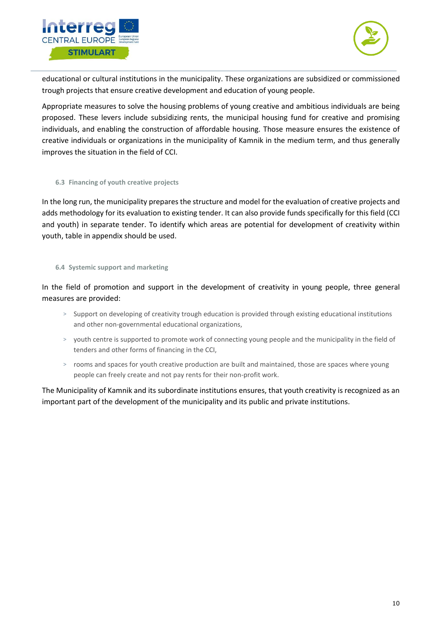



educational or cultural institutions in the municipality. These organizations are subsidized or commissioned trough projects that ensure creative development and education of young people.

Appropriate measures to solve the housing problems of young creative and ambitious individuals are being proposed. These levers include subsidizing rents, the municipal housing fund for creative and promising individuals, and enabling the construction of affordable housing. Those measure ensures the existence of creative individuals or organizations in the municipality of Kamnik in the medium term, and thus generally improves the situation in the field of CCI.

#### <span id="page-9-0"></span>**6.3 Financing of youth creative projects**

In the long run, the municipality prepares the structure and model for the evaluation of creative projects and adds methodology for its evaluation to existing tender. It can also provide funds specifically for this field (CCI and youth) in separate tender. To identify which areas are potential for development of creativity within youth, table in appendix should be used.

#### <span id="page-9-1"></span>**6.4 Systemic support and marketing**

In the field of promotion and support in the development of creativity in young people, three general measures are provided:

- > Support on developing of creativity trough education is provided through existing educational institutions and other non-governmental educational organizations,
- > youth centre is supported to promote work of connecting young people and the municipality in the field of tenders and other forms of financing in the CCI,
- > rooms and spaces for youth creative production are built and maintained, those are spaces where young people can freely create and not pay rents for their non-profit work.

The Municipality of Kamnik and its subordinate institutions ensures, that youth creativity is recognized as an important part of the development of the municipality and its public and private institutions.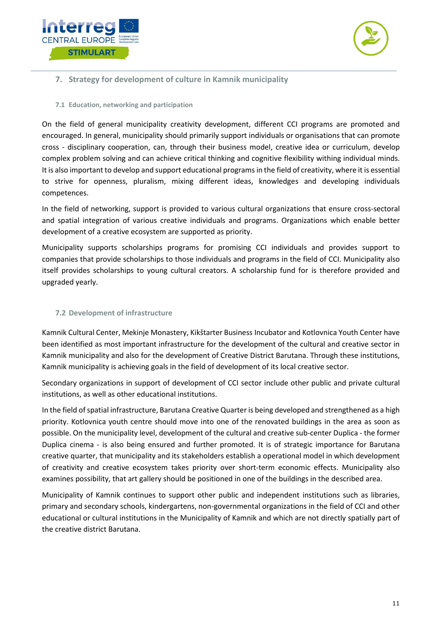



## <span id="page-10-0"></span>**7. Strategy for development of culture in Kamnik municipality**

#### <span id="page-10-1"></span>**7.1 Education, networking and participation**

On the field of general municipality creativity development, different CCI programs are promoted and encouraged. In general, municipality should primarily support individuals or organisations that can promote cross - disciplinary cooperation, can, through their business model, creative idea or curriculum, develop complex problem solving and can achieve critical thinking and cognitive flexibility withing individual minds. It is also important to develop and support educational programs in the field of creativity, where it is essential to strive for openness, pluralism, mixing different ideas, knowledges and developing individuals competences.

In the field of networking, support is provided to various cultural organizations that ensure cross-sectoral and spatial integration of various creative individuals and programs. Organizations which enable better development of a creative ecosystem are supported as priority.

Municipality supports scholarships programs for promising CCI individuals and provides support to companies that provide scholarships to those individuals and programs in the field of CCI. Municipality also itself provides scholarships to young cultural creators. A scholarship fund for is therefore provided and upgraded yearly.

## <span id="page-10-2"></span>**7.2 Development of infrastructure**

Kamnik Cultural Center, Mekinje Monastery, Kikštarter Business Incubator and Kotlovnica Youth Center have been identified as most important infrastructure for the development of the cultural and creative sector in Kamnik municipality and also for the development of Creative District Barutana. Through these institutions, Kamnik municipality is achieving goals in the field of development of its local creative sector.

Secondary organizations in support of development of CCI sector include other public and private cultural institutions, as well as other educational institutions.

In the field of spatial infrastructure, Barutana Creative Quarter is being developed and strengthened as a high priority. Kotlovnica youth centre should move into one of the renovated buildings in the area as soon as possible. On the municipality level, development of the cultural and creative sub-center Duplica - the former Duplica cinema - is also being ensured and further promoted. It is of strategic importance for Barutana creative quarter, that municipality and its stakeholders establish a operational model in which development of creativity and creative ecosystem takes priority over short-term economic effects. Municipality also examines possibility, that art gallery should be positioned in one of the buildings in the described area.

Municipality of Kamnik continues to support other public and independent institutions such as libraries, primary and secondary schools, kindergartens, non-governmental organizations in the field of CCI and other educational or cultural institutions in the Municipality of Kamnik and which are not directly spatially part of the creative district Barutana.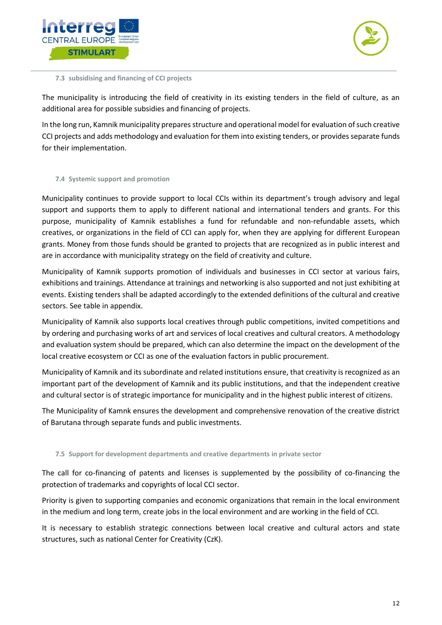



<span id="page-11-0"></span>**7.3 subsidising and financing of CCI projects**

The municipality is introducing the field of creativity in its existing tenders in the field of culture, as an additional area for possible subsidies and financing of projects.

In the long run, Kamnik municipality prepares structure and operational model for evaluation of such creative CCI projects and adds methodology and evaluation for them into existing tenders, or provides separate funds for their implementation.

#### <span id="page-11-1"></span>**7.4 Systemic support and promotion**

Municipality continues to provide support to local CCIs within its department's trough advisory and legal support and supports them to apply to different national and international tenders and grants. For this purpose, municipality of Kamnik establishes a fund for refundable and non-refundable assets, which creatives, or organizations in the field of CCI can apply for, when they are applying for different European grants. Money from those funds should be granted to projects that are recognized as in public interest and are in accordance with municipality strategy on the field of creativity and culture.

Municipality of Kamnik supports promotion of individuals and businesses in CCI sector at various fairs, exhibitions and trainings. Attendance at trainings and networking is also supported and not just exhibiting at events. Existing tenders shall be adapted accordingly to the extended definitions of the cultural and creative sectors. See table in appendix.

Municipality of Kamnik also supports local creatives through public competitions, invited competitions and by ordering and purchasing works of art and services of local creatives and cultural creators. A methodology and evaluation system should be prepared, which can also determine the impact on the development of the local creative ecosystem or CCI as one of the evaluation factors in public procurement.

Municipality of Kamnik and its subordinate and related institutions ensure, that creativity is recognized as an important part of the development of Kamnik and its public institutions, and that the independent creative and cultural sector is of strategic importance for municipality and in the highest public interest of citizens.

The Municipality of Kamnk ensures the development and comprehensive renovation of the creative district of Barutana through separate funds and public investments.

#### <span id="page-11-2"></span>**7.5 Support for development departments and creative departments in private sector**

The call for co-financing of patents and licenses is supplemented by the possibility of co-financing the protection of trademarks and copyrights of local CCI sector.

Priority is given to supporting companies and economic organizations that remain in the local environment in the medium and long term, create jobs in the local environment and are working in the field of CCI.

It is necessary to establish strategic connections between local creative and cultural actors and state structures, such as national Center for Creativity (CzK).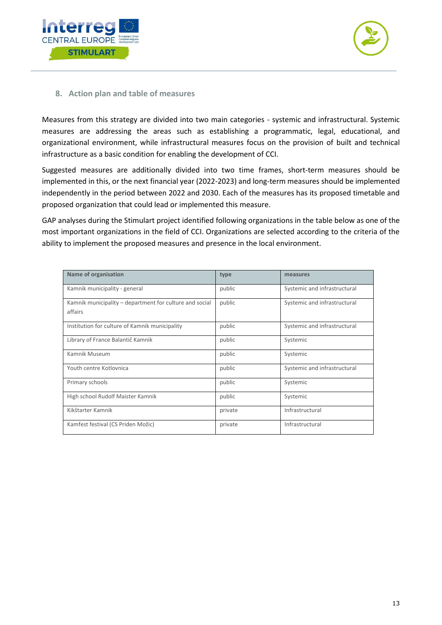



## <span id="page-12-0"></span>**8. Action plan and table of measures**

Measures from this strategy are divided into two main categories - systemic and infrastructural. Systemic measures are addressing the areas such as establishing a programmatic, legal, educational, and organizational environment, while infrastructural measures focus on the provision of built and technical infrastructure as a basic condition for enabling the development of CCI.

Suggested measures are additionally divided into two time frames, short-term measures should be implemented in this, or the next financial year (2022-2023) and long-term measures should be implemented independently in the period between 2022 and 2030. Each of the measures has its proposed timetable and proposed organization that could lead or implemented this measure.

GAP analyses during the Stimulart project identified following organizations in the table below as one of the most important organizations in the field of CCI. Organizations are selected according to the criteria of the ability to implement the proposed measures and presence in the local environment.

| Name of organisation                                               | type    | measures                     |
|--------------------------------------------------------------------|---------|------------------------------|
| Kamnik municipality - general                                      | public  | Systemic and infrastructural |
| Kamnik municipality - department for culture and social<br>affairs | public  | Systemic and infrastructural |
| Institution for culture of Kamnik municipality                     | public  | Systemic and infrastructural |
| Library of France Balantič Kamnik                                  | public  | Systemic                     |
| Kamnik Museum                                                      | public  | Systemic                     |
| Youth centre Kotlovnica                                            | public  | Systemic and infrastructural |
| Primary schools                                                    | public  | Systemic                     |
| High school Rudolf Maister Kamnik                                  | public  | Systemic                     |
| Kikštarter Kamnik                                                  | private | Infrastructural              |
| Kamfest festival (CS Priden Možic)                                 | private | Infrastructural              |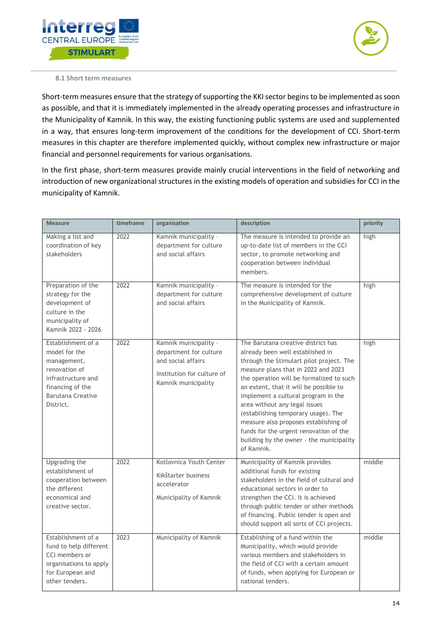



<span id="page-13-0"></span>**8.1 Short term measures**

Short-term measures ensure that the strategy of supporting the KKI sector begins to be implemented as soon as possible, and that it is immediately implemented in the already operating processes and infrastructure in the Municipality of Kamnik. In this way, the existing functioning public systems are used and supplemented in a way, that ensures long-term improvement of the conditions for the development of CCI. Short-term measures in this chapter are therefore implemented quickly, without complex new infrastructure or major financial and personnel requirements for various organisations.

In the first phase, short-term measures provide mainly crucial interventions in the field of networking and introduction of new organizational structures in the existing models of operation and subsidies for CCI in the municipality of Kamnik.

| <b>Measure</b>                                                                                                                                         | timeframe | organisation                                                                                                               | description                                                                                                                                                                                                                                                                                                                                                                                                                                                                                                 | priority |
|--------------------------------------------------------------------------------------------------------------------------------------------------------|-----------|----------------------------------------------------------------------------------------------------------------------------|-------------------------------------------------------------------------------------------------------------------------------------------------------------------------------------------------------------------------------------------------------------------------------------------------------------------------------------------------------------------------------------------------------------------------------------------------------------------------------------------------------------|----------|
| Making a list and<br>coordination of key<br>stakeholders                                                                                               | 2022      | Kamnik municipality -<br>department for culture<br>and social affairs                                                      | The measure is intended to provide an<br>up-to-date list of members in the CCI<br>sector, to promote networking and<br>cooperation between individual<br>members.                                                                                                                                                                                                                                                                                                                                           | high     |
| Preparation of the<br>strategy for the<br>development of<br>culture in the<br>municipality of<br>Kamnik 2022 - 2026                                    | 2022      | Kamnik municipality -<br>department for culture<br>and social affairs                                                      | The measure is intended for the<br>comprehensive development of culture<br>in the Municipality of Kamnik.                                                                                                                                                                                                                                                                                                                                                                                                   | high     |
| Establishment of a<br>model for the<br>management,<br>renovation of<br>infrastructure and<br>financing of the<br><b>Barutana Creative</b><br>District. | 2022      | Kamnik municipality -<br>department for culture<br>and social affairs<br>Institution for culture of<br>Kamnik municipality | The Barutana creative district has<br>already been well established in<br>through the Stimulart pilot project. The<br>measure plans that in 2022 and 2023<br>the operation will be formalized to such<br>an extent, that it will be possible to<br>implement a cultural program in the<br>area without any legal issues<br>(establishing temporary usage). The<br>measure also proposes establishing of<br>funds for the urgent renovation of the<br>building by the owner - the municipality<br>of Kamnik. | high     |
| <b>Upgrading the</b><br>establishment of<br>cooperation between<br>the different<br>economical and<br>creative sector.                                 | 2022      | Kotlovnica Youth Center<br>Kikštarter business<br>accelerator<br>Municipality of Kamnik                                    | Municipality of Kamnik provides<br>additional funds for existing<br>stakeholders in the field of cultural and<br>educational sectors in order to<br>strengthen the CCI. It is achieved<br>through public tender or other methods<br>of financing. Public tender is open and<br>should support all sorts of CCI projects.                                                                                                                                                                                    | middle   |
| Establishment of a<br>fund to help different<br>CCI members or<br>organisations to apply<br>for European and<br>other tenders.                         | 2023      | Municipality of Kamnik                                                                                                     | Establishing of a fund within the<br>Municipality, which would provide<br>various members and stakeholders in<br>the field of CCI with a certain amount<br>of funds, when applying for European or<br>national tenders.                                                                                                                                                                                                                                                                                     | middle   |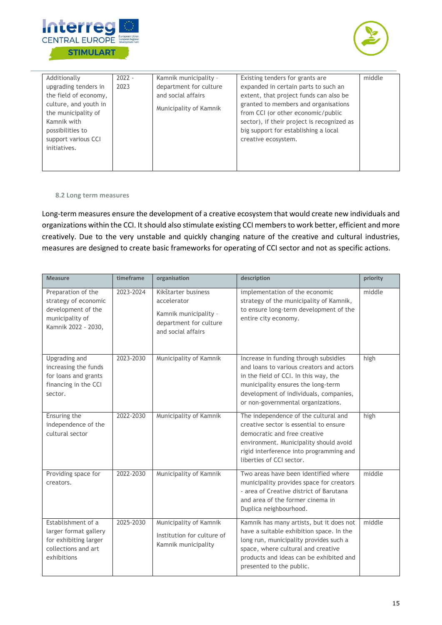



| Additionally          | $2022 -$ | Kamnik municipality -  | Existing tenders for grants are            | middle |
|-----------------------|----------|------------------------|--------------------------------------------|--------|
| upgrading tenders in  | 2023     | department for culture | expanded in certain parts to such an       |        |
| the field of economy, |          | and social affairs     | extent, that project funds can also be     |        |
| culture, and youth in |          |                        | granted to members and organisations       |        |
| the municipality of   |          | Municipality of Kamnik | from CCI (or other economic/public         |        |
| Kamnik with           |          |                        | sector), if their project is recognized as |        |
| possibilities to      |          |                        | big support for establishing a local       |        |
| support various CCI   |          |                        | creative ecosystem.                        |        |
| initiatives.          |          |                        |                                            |        |
|                       |          |                        |                                            |        |
|                       |          |                        |                                            |        |

#### <span id="page-14-0"></span>**8.2 Long term measures**

Long-term measures ensure the development of a creative ecosystem that would create new individuals and organizations within the CCI. It should also stimulate existing CCI membersto work better, efficient and more creatively. Due to the very unstable and quickly changing nature of the creative and cultural industries, measures are designed to create basic frameworks for operating of CCI sector and not as specific actions.

| <b>Measure</b>                                                                                             | timeframe | organisation                                                                                                | description                                                                                                                                                                                                                                      | priority |
|------------------------------------------------------------------------------------------------------------|-----------|-------------------------------------------------------------------------------------------------------------|--------------------------------------------------------------------------------------------------------------------------------------------------------------------------------------------------------------------------------------------------|----------|
| Preparation of the<br>strategy of economic<br>development of the<br>municipality of<br>Kamnik 2022 - 2030, | 2023-2024 | Kikštarter business<br>accelerator<br>Kamnik municipality -<br>department for culture<br>and social affairs | implementation of the economic<br>strategy of the municipality of Kamnik,<br>to ensure long-term development of the<br>entire city economy.                                                                                                      | middle   |
| <b>Upgrading and</b><br>increasing the funds<br>for loans and grants<br>financing in the CCI<br>sector.    | 2023-2030 | Municipality of Kamnik                                                                                      | Increase in funding through subsidies<br>and loans to various creators and actors<br>in the field of CCI. In this way, the<br>municipality ensures the long-term<br>development of individuals, companies,<br>or non-governmental organizations. | high     |
| Ensuring the<br>independence of the<br>cultural sector                                                     | 2022-2030 | Municipality of Kamnik                                                                                      | The independence of the cultural and<br>creative sector is essential to ensure<br>democratic and free creative<br>environment. Municipality should avoid<br>rigid interference into programming and<br>liberties of CCI sector.                  | high     |
| Providing space for<br>creators.                                                                           | 2022-2030 | Municipality of Kamnik                                                                                      | Two areas have been identified where<br>municipality provides space for creators<br>- area of Creative district of Barutana<br>and area of the former cinema in<br>Duplica neighbourhood.                                                        | middle   |
| Establishment of a<br>larger format gallery<br>for exhibiting larger<br>collections and art<br>exhibitions | 2025-2030 | Municipality of Kamnik<br>Institution for culture of<br>Kamnik municipality                                 | Kamnik has many artists, but it does not<br>have a suitable exhibition space. In the<br>long run, municipality provides such a<br>space, where cultural and creative<br>products and ideas can be exhibited and<br>presented to the public.      | middle   |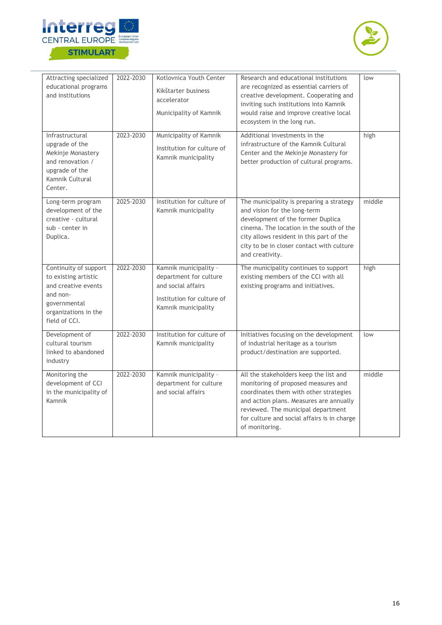



| Attracting specialized<br>educational programs<br>and institutions                                                                        | 2022-2030 | Kotlovnica Youth Center<br>Kikštarter business<br>accelerator<br>Municipality of Kamnik                                    | Research and educational institutions<br>are recognized as essential carriers of<br>creative development. Cooperating and<br>inviting such institutions into Kamnik<br>would raise and improve creative local<br>ecosystem in the long run.                               | low    |
|-------------------------------------------------------------------------------------------------------------------------------------------|-----------|----------------------------------------------------------------------------------------------------------------------------|---------------------------------------------------------------------------------------------------------------------------------------------------------------------------------------------------------------------------------------------------------------------------|--------|
| Infrastructural<br>upgrade of the<br>Mekinje Monastery<br>and renovation /<br>upgrade of the<br>Kamnik Cultural<br>Center.                | 2023-2030 | Municipality of Kamnik<br>Institution for culture of<br>Kamnik municipality                                                | Additional investments in the<br>infrastructure of the Kamnik Cultural<br>Center and the Mekinje Monastery for<br>better production of cultural programs.                                                                                                                 | high   |
| Long-term program<br>development of the<br>creative - cultural<br>sub - center in<br>Duplica.                                             | 2025-2030 | Institution for culture of<br>Kamnik municipality                                                                          | The municipality is preparing a strategy<br>and vision for the long-term<br>development of the former Duplica<br>cinema. The location in the south of the<br>city allows resident in this part of the<br>city to be in closer contact with culture<br>and creativity.     | middle |
| Continuity of support<br>to existing artistic<br>and creative events<br>and non-<br>governmental<br>organizations in the<br>field of CCI. | 2022-2030 | Kamnik municipality -<br>department for culture<br>and social affairs<br>Institution for culture of<br>Kamnik municipality | The municipality continues to support<br>existing members of the CCI with all<br>existing programs and initiatives.                                                                                                                                                       | high   |
| Development of<br>cultural tourism<br>linked to abandoned<br>industry                                                                     | 2022-2030 | Institution for culture of<br>Kamnik municipality                                                                          | Initiatives focusing on the development<br>of industrial heritage as a tourism<br>product/destination are supported.                                                                                                                                                      | low    |
| Monitoring the<br>development of CCI<br>in the municipality of<br>Kamnik                                                                  | 2022-2030 | Kamnik municipality -<br>department for culture<br>and social affairs                                                      | All the stakeholders keep the list and<br>monitoring of proposed measures and<br>coordinates them with other strategies<br>and action plans. Measures are annually<br>reviewed. The municipal department<br>for culture and social affairs is in charge<br>of monitoring. | middle |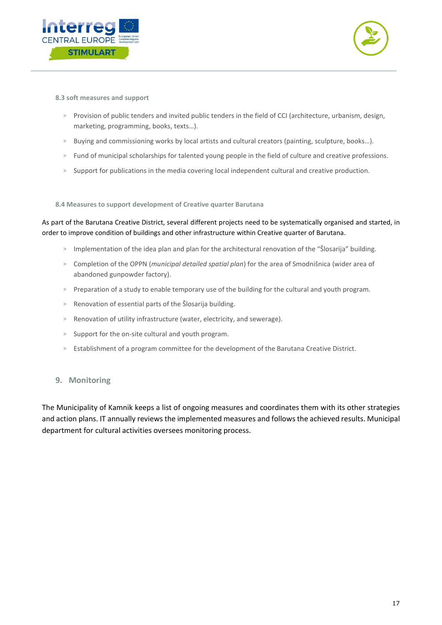



<span id="page-16-0"></span>**8.3 soft measures and support**

- > Provision of public tenders and invited public tenders in the field of CCI (architecture, urbanism, design, marketing, programming, books, texts…).
- > Buying and commissioning works by local artists and cultural creators (painting, sculpture, books…).
- > Fund of municipal scholarships for talented young people in the field of culture and creative professions.
- > Support for publications in the media covering local independent cultural and creative production.

<span id="page-16-1"></span>**8.4 Measures to support development of Creative quarter Barutana**

As part of the Barutana Creative District, several different projects need to be systematically organised and started, in order to improve condition of buildings and other infrastructure within Creative quarter of Barutana.

- > Implementation of the idea plan and plan for the architectural renovation of the "Šlosarija" building.
- > Completion of the OPPN (*municipal detailed spatial plan*) for the area of Smodnišnica (wider area of abandoned gunpowder factory).
- > Preparation of a study to enable temporary use of the building for the cultural and youth program.
- > Renovation of essential parts of the Šlosarija building.
- > Renovation of utility infrastructure (water, electricity, and sewerage).
- > Support for the on-site cultural and youth program.
- > Establishment of a program committee for the development of the Barutana Creative District.

#### <span id="page-16-2"></span>**9. Monitoring**

The Municipality of Kamnik keeps a list of ongoing measures and coordinates them with its other strategies and action plans. IT annually reviews the implemented measures and follows the achieved results. Municipal department for cultural activities oversees monitoring process.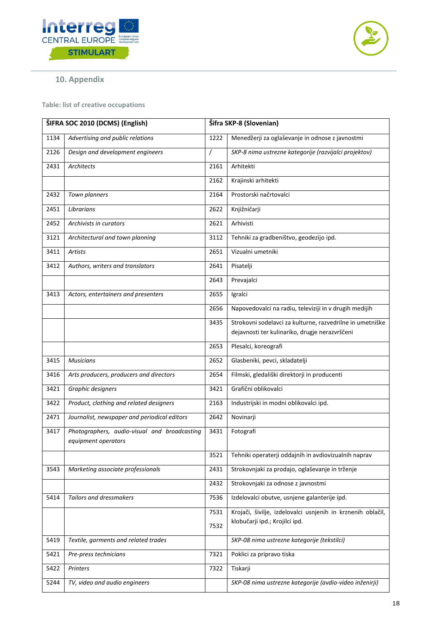



# <span id="page-17-0"></span>**10. Appendix**

<span id="page-17-1"></span>**Table: list of creative occupations**

| ŠIFRA SOC 2010 (DCMS) (English) |                                                                     |          | Šifra SKP-8 (Slovenian)                                                                                     |  |
|---------------------------------|---------------------------------------------------------------------|----------|-------------------------------------------------------------------------------------------------------------|--|
| 1134                            | Advertising and public relations                                    | 1222     | Menedžerji za oglaševanje in odnose z javnostmi                                                             |  |
| 2126                            | Design and development engineers                                    | $\prime$ | SKP-8 nima ustrezne kategorije (razvijalci projektov)                                                       |  |
| 2431                            | Architects                                                          | 2161     | Arhitekti                                                                                                   |  |
|                                 |                                                                     | 2162     | Krajinski arhitekti                                                                                         |  |
| 2432                            | Town planners                                                       | 2164     | Prostorski načrtovalci                                                                                      |  |
| 2451                            | Librarians                                                          | 2622     | Knjižničarji                                                                                                |  |
| 2452                            | Archivists in curators                                              | 2621     | Arhivisti                                                                                                   |  |
| 3121                            | Architectural and town planning                                     | 3112     | Tehniki za gradbeništvo, geodezijo ipd.                                                                     |  |
| 3411                            | Artists                                                             | 2651     | Vizualni umetniki                                                                                           |  |
| 3412                            | Authors, writers and translators                                    | 2641     | Pisatelji                                                                                                   |  |
|                                 |                                                                     | 2643     | Prevajalci                                                                                                  |  |
| 3413                            | Actors, entertainers and presenters                                 | 2655     | Igralci                                                                                                     |  |
|                                 |                                                                     | 2656     | Napovedovalci na radiu, televiziji in v drugih medijih                                                      |  |
|                                 |                                                                     | 3435     | Strokovni sodelavci za kulturne, razvedrilne in umetniške<br>dejavnosti ter kulinariko, drugje nerazvrščeni |  |
|                                 |                                                                     | 2653     | Plesalci, koreografi                                                                                        |  |
| 3415                            | <b>Musicians</b>                                                    | 2652     | Glasbeniki, pevci, skladatelji                                                                              |  |
| 3416                            | Arts producers, producers and directors                             | 2654     | Filmski, gledališki direktorji in producenti                                                                |  |
| 3421                            | Graphic designers                                                   | 3421     | Grafični oblikovalci                                                                                        |  |
| 3422                            | Product, clothing and related designers                             | 2163     | Industrijski in modni oblikovalci ipd.                                                                      |  |
| 2471                            | Journalist, newspaper and periodical editors                        | 2642     | Novinarji                                                                                                   |  |
| 3417                            | Photographers, audio-visual and broadcasting<br>equipment operators | 3431     | Fotografi                                                                                                   |  |
|                                 |                                                                     | 3521     | Tehniki operaterji oddajnih in avdiovizualnih naprav                                                        |  |
| 3543                            | Marketing associate professionals                                   | 2431     | Strokovnjaki za prodajo, oglaševanje in trženje                                                             |  |
|                                 |                                                                     | 2432     | Strokovnjaki za odnose z javnostmi                                                                          |  |
| 5414                            | <b>Tailors and dressmakers</b>                                      | 7536     | Izdelovalci obutve, usnjene galanterije ipd.                                                                |  |
|                                 |                                                                     | 7531     | Krojači, šivilje, izdelovalci usnjenih in krznenih oblačil,                                                 |  |
|                                 |                                                                     | 7532     | klobučarji ipd.; Krojilci ipd.                                                                              |  |
| 5419                            | Textile, garments and related trades                                |          | SKP-08 nima ustrezne kategorije (tekstilci)                                                                 |  |
| 5421                            | Pre-press technicians                                               | 7321     | Poklici za pripravo tiska                                                                                   |  |
| 5422                            | Printers                                                            | 7322     | Tiskarji                                                                                                    |  |
| 5244                            | TV, video and audio engineers                                       |          | SKP-08 nima ustrezne kategorije (avdio-video inženirji)                                                     |  |